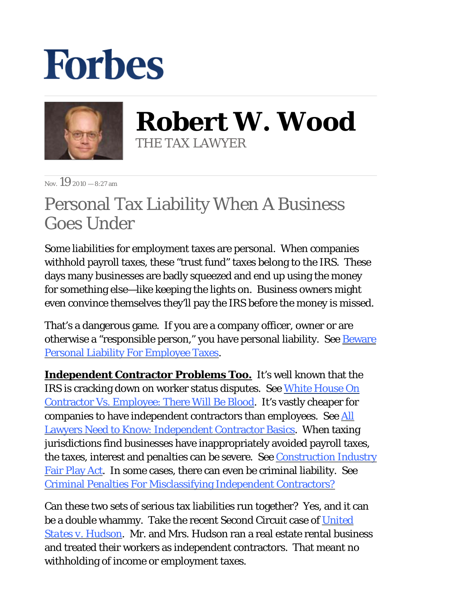## **Forbes**



**Robert W. Wood** THE TAX LAWYER

 $N_{\text{ov}}$  19 2010 – 8:27 am

## Personal Tax Liability When A Business Goes Under

Some liabilities for employment taxes are personal. When companies withhold payroll taxes, these "trust fund" taxes belong to the IRS. These days many businesses are badly squeezed and end up using the money for something else—like keeping the lights on. Business owners might even convince themselves they'll pay the IRS before the money is missed.

That's a dangerous game. If you are a company officer, owner or are otherwise a "responsible person," you have personal liability. See **[Beware](http://blogs.forbes.com/robertwood/2010/11/11/beware-personal-liability-for-employee-taxes/)** [Personal Liability For Employee Taxes.](http://blogs.forbes.com/robertwood/2010/11/11/beware-personal-liability-for-employee-taxes/)

**Independent Contractor Problems Too.** It's well known that the IRS is cracking down on worker status disputes. See [White House On](http://blogs.forbes.com/robertwood/2010/09/17/white-house-on-contractor-vs-employee-there-will-be-blood/)  [Contractor Vs. Employee: There Will Be Blood.](http://blogs.forbes.com/robertwood/2010/09/17/white-house-on-contractor-vs-employee-there-will-be-blood/) It's vastly cheaper for companies to have independent contractors than employees. See [All](http://www.woodporter.com/Publications/Articles/pdf/All_Lawyers_Need_To_Know_IC_Basics.pdf)  [Lawyers Need to Know: Independent Contractor Basics.](http://www.woodporter.com/Publications/Articles/pdf/All_Lawyers_Need_To_Know_IC_Basics.pdf) When taxing jurisdictions find businesses have inappropriately avoided payroll taxes, the taxes, interest and penalties can be severe. See [Construction Industry](http://assembly.state.ny.us/leg/?default_fld=&bn=S05847%09%09&Text=Y) [Fair Play Act.](http://assembly.state.ny.us/leg/?default_fld=&bn=S05847%09%09&Text=Y) In some cases, there can even be criminal liability. See [Criminal Penalties For Misclassifying Independent Contractors?](http://blogs.forbes.com/robertwood/2010/10/15/criminal-penalties-for-misclassifying-independent-contractors/)

Can these two sets of serious tax liabilities run together? Yes, and it can be a double whammy. Take the recent Second Circuit case of *[United](http://caselaw.findlaw.com/us-2nd-circuit/1544324.html)  [States v. Hudson](http://caselaw.findlaw.com/us-2nd-circuit/1544324.html)*. Mr. and Mrs. Hudson ran a real estate rental business and treated their workers as independent contractors. That meant no withholding of income or employment taxes.